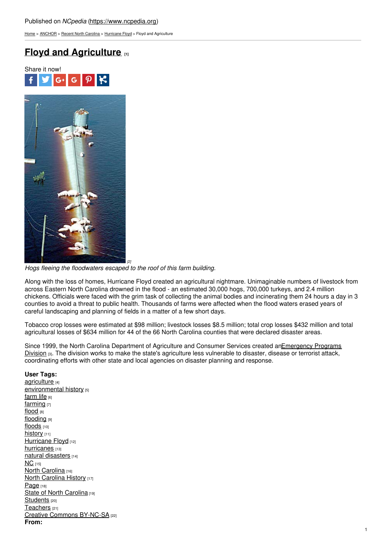[Home](https://www.ncpedia.org/) > [ANCHOR](https://www.ncpedia.org/anchor/anchor) > Recent North [Carolina](https://www.ncpedia.org/anchor/recent-north-carolina) > [Hurricane](https://www.ncpedia.org/anchor/hurricane-floyd) Floyd > Floyd and Agriculture

# **Floyd and [Agriculture](https://www.ncpedia.org/anchor/floyd-and-agriculture) [1]**





*[2] Hogs fleeing the floodwaters escaped to the roof of this farm building.*

Along with the loss of homes, Hurricane Floyd created an agricultural nightmare. Unimaginable numbers of livestock from across Eastern North Carolina drowned in the flood - an estimated 30,000 hogs, 700,000 turkeys, and 2.4 million chickens. Officials were faced with the grim task of collecting the animal bodies and incinerating them 24 hours a day in 3 counties to avoid a threat to public health. Thousands of farms were affected when the flood waters erased years of careful landscaping and planning of fields in a matter of a few short days.

Tobacco crop losses were estimated at \$98 million; livestock losses \$8.5 million; total crop losses \$432 million and total agricultural losses of \$634 million for 44 of the 66 North Carolina counties that were declared disaster areas.

Since 1999, the North Carolina Department of Agriculture and Consumer Services created [anEmergency](http://www.ncagr.gov/oep/) Programs Division [3]. The division works to make the state's agriculture less vulnerable to disaster, disease or terrorist attack, coordinating efforts with other state and local agencies on disaster planning and response.

## **User Tags:**

[agriculture](https://www.ncpedia.org/category/user-tags/agriculture) [4] [environmental](https://www.ncpedia.org/category/user-tags/environmental) history [5] [farm](https://www.ncpedia.org/category/user-tags/farm-life) life  $[6]$ [farming](https://www.ncpedia.org/category/user-tags/farming) [7] [flood](https://www.ncpedia.org/category/user-tags/flood) [8] [flooding](https://www.ncpedia.org/category/user-tags/flooding) [9] [floods](https://www.ncpedia.org/category/user-tags/floods) [10] [history](https://www.ncpedia.org/category/user-tags/history) [11] [Hurricane](https://www.ncpedia.org/category/user-tags/hurricane-floyd) Floyd<sub>[12]</sub> [hurricanes](https://www.ncpedia.org/category/user-tags/hurricanes) [13] natural [disasters](https://www.ncpedia.org/category/user-tags/natural) [14]  $NC_{[15]}$  $NC_{[15]}$ North [Carolina](https://www.ncpedia.org/category/user-tags/north-carolina-5) [16] North [Carolina](https://www.ncpedia.org/category/user-tags/north-carolina-6) History [17] [Page](https://www.ncpedia.org/category/user-tags/page) [18] State of North [Carolina](https://www.ncpedia.org/category/user-tags/state-north) [19] [Students](https://www.ncpedia.org/category/user-tags/students) [20] [Teachers](https://www.ncpedia.org/category/user-tags/teachers) [21] Creative Commons [BY-NC-SA](https://www.ncpedia.org/category/user-tags/creative-commons) [22] **From:**